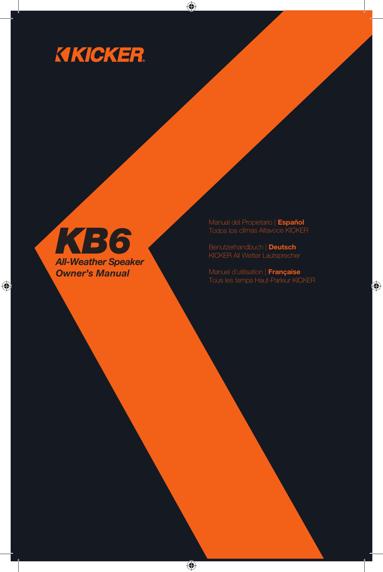# **KICKER**

 $\bigoplus$ 



 $\bigoplus$ 

Manual del Propietario | **Español** Todos los climas Altavoce KICKER

Benutzerhandbuch | **Deutsch** KICKER All Wetter Lautsprecher

Manuel d'utilisation | **Française** Tous les temps Haut-Parleur KICKER

⊕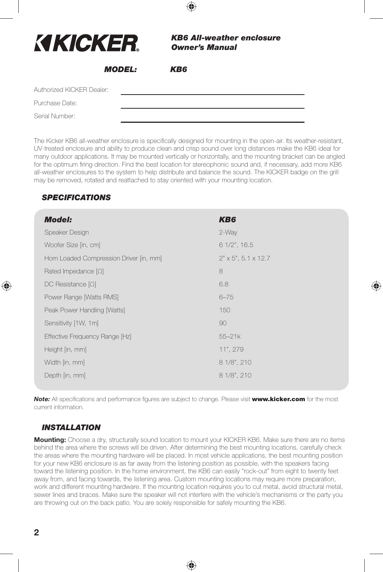| <b>KIKICKER.</b>          |  | <b>KB6 All-weather enclosure</b><br><b>Owner's Manual</b> |  |
|---------------------------|--|-----------------------------------------------------------|--|
| <i><b>MODEL:</b></i>      |  | KB6                                                       |  |
| Authorized KICKER Dealer: |  |                                                           |  |
| Purchase Date:            |  |                                                           |  |
| Serial Number:            |  |                                                           |  |

The Kicker KB6 all-weather enclosure is specifically designed for mounting in the open-air. Its weather-resistant, UV-treated enclosure and ability to produce clean and crisp sound over long distances make the KB6 ideal for many outdoor applications. It may be mounted vertically or horizontally, and the mounting bracket can be angled for the optimum firing direction. Find the best location for stereophonic sound and, if necessary, add more KB6 all-weather enclosures to the system to help distribute and balance the sound. The KICKER badge on the grill may be removed, rotated and reattached to stay oriented with your mounting location.

# *SPECIFICATIONS*

| <b>Model:</b>                           | KB <sub>6</sub>                 |
|-----------------------------------------|---------------------------------|
| Speaker Design                          | 2-Way                           |
| Woofer Size [in, cm]                    | $61/2$ ", $16.5$                |
| Horn Loaded Compression Driver [in, mm] | $2" \times 5", 5.1 \times 12.7$ |
| Rated Impedance $[\Omega]$              | 8                               |
| $DC$ Resistance $[\Omega]$              | 6.8                             |
| Power Range [Watts RMS]                 | $6 - 75$                        |
| Peak Power Handling [Watts]             | 150                             |
| Sensitivity [1W, 1m]                    | 90                              |
| Effective Frequency Range [Hz]          | $55 - 21k$                      |
| Height [in, mm]                         | 11", 279                        |
| Width [in, mm]                          | 8 1/8", 210                     |
| Depth [in, mm]                          | 8 1/8", 210                     |
|                                         |                                 |

♠

**Note:** All specifications and performance figures are subject to change. Please visit **www.kicker.com** for the most current information.

#### *INSTALLATION*

**Mounting:** Choose a dry, structurally sound location to mount your KICKER KB6. Make sure there are no items behind the area where the screws will be driven. After determining the best mounting locations, carefully check the areas where the mounting hardware will be placed. In most vehicle applications, the best mounting position for your new KB6 enclosure is as far away from the listening position as possible, with the speakers facing toward the listening position. In the home environment, the KB6 can easily "rock-out" from eight to twenty feet away from, and facing towards, the listening area. Custom mounting locations may require more preparation, work and different mounting hardware. If the mounting location requires you to cut metal, avoid structural metal, sewer lines and braces. Make sure the speaker will not interfere with the vehicle's mechanisms or the party you are throwing out on the back patio. You are solely responsible for safely mounting the KB6.

♠

**2**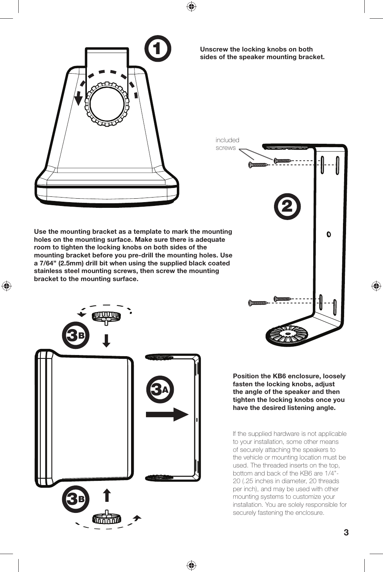



**Unscrew the locking knobs on both sides of the speaker mounting bracket.**



**Use the mounting bracket as a template to mark the mounting holes on the mounting surface. Make sure there is adequate room to tighten the locking knobs on both sides of the mounting bracket before you pre-drill the mounting holes. Use a 7/64" (2.5mm) drill bit when using the supplied black coated stainless steel mounting screws, then screw the mounting bracket to the mounting surface.**

⊕



♠

**Position the KB6 enclosure, loosely fasten the locking knobs, adjust the angle of the speaker and then tighten the locking knobs once you have the desired listening angle.** 

If the supplied hardware is not applicable to your installation, some other means of securely attaching the speakers to the vehicle or mounting location must be used. The threaded inserts on the top, bottom and back of the KB6 are 1/4"- 20 (.25 inches in diameter, 20 threads per inch), and may be used with other mounting systems to customize your installation. You are solely responsible for securely fastening the enclosure.

**3**

◈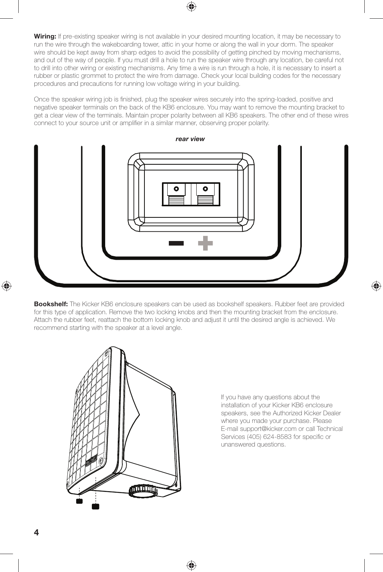**Wiring:** If pre-existing speaker wiring is not available in your desired mounting location, it may be necessary to run the wire through the wakeboarding tower, attic in your home or along the wall in your dorm. The speaker wire should be kept away from sharp edges to avoid the possibility of getting pinched by moving mechanisms, and out of the way of people. If you must drill a hole to run the speaker wire through any location, be careful not to drill into other wiring or existing mechanisms. Any time a wire is run through a hole, it is necessary to insert a rubber or plastic grommet to protect the wire from damage. Check your local building codes for the necessary procedures and precautions for running low voltage wiring in your building.

Once the speaker wiring job is finished, plug the speaker wires securely into the spring-loaded, positive and negative speaker terminals on the back of the KB6 enclosure. You may want to remove the mounting bracket to get a clear view of the terminals. Maintain proper polarity between all KB6 speakers. The other end of these wires connect to your source unit or amplifier in a similar manner, observing proper polarity.



**Bookshelf:** The Kicker KB6 enclosure speakers can be used as bookshelf speakers. Rubber feet are provided for this type of application. Remove the two locking knobs and then the mounting bracket from the enclosure. Attach the rubber feet, reattach the bottom locking knob and adjust it until the desired angle is achieved. We recommend starting with the speaker at a level angle.

♠



If you have any questions about the installation of your Kicker KB6 enclosure speakers, see the Authorized Kicker Dealer where you made your purchase. Please E-mail support@kicker.com or call Technical Services (405) 624-8583 for specific or unanswered questions.

♠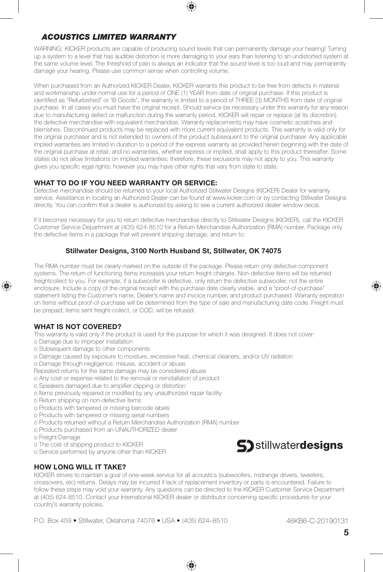

WARNING: KICKER products are capable of producing sound levels that can permanently damage your hearing! Turning up a system to a level that has audible distortion is more damaging to your ears than listening to an undistorted system at the same volume level. The threshold of pain is always an indicator that the sound level is too loud and may permanently damage your hearing. Please use common sense when controlling volume.

When purchased from an Authorized KICKER Dealer, KICKER warrants this product to be free from defects in material and workmanship under normal use for a period of ONE (1) YEAR from date of original purchase. If this product is identified as "Refurbished" or "B Goods", the warranty is limited to a period of THREE (3) MONTHS from date of original purchase. In all cases you must have the original receipt. Should service be necessary under this warranty for any reason due to manufacturing defect or malfunction during the warranty period, KICKER will repair or replace (at its discretion) the defective merchandise with equivalent merchandise. Warranty replacements may have cosmetic scratches and blemishes. Discontinued products may be replaced with more current equivalent products. This warranty is valid only for the original purchaser and is not extended to owners of the product subsequent to the original purchaser. Any applicable implied warranties are limited in duration to a period of the express warranty as provided herein beginning with the date of the original purchase at retail, and no warranties, whether express or implied, shall apply to this product thereafter. Some states do not allow limitations on implied warranties; therefore, these exclusions may not apply to you. This warranty gives you specific legal rights; however you may have other rights that vary from state to state.

#### **WHAT TO DO IF YOU NEED WARRANTY OR SERVICE:**

Defective merchandise should be returned to your local Authorized Stillwater Designs (KICKER) Dealer for warranty service. Assistance in locating an Authorized Dealer can be found at www.kicker.com or by contacting Stillwater Designs directly. You can confirm that a dealer is authorized by asking to see a current authorized dealer window decal.

If it becomes necessary for you to return defective merchandise directly to Stillwater Designs (KICKER), call the KICKER Customer Service Department at (405) 624-8510 for a Return Merchandise Authorization (RMA) number. Package only the defective items in a package that will prevent shipping damage, and return to:

#### **Stillwater Designs, 3100 North Husband St, Stillwater, OK 74075**

The RMA number must be clearly marked on the outside of the package. Please return only defective component systems. The return of functioning items increases your return freight charges. Non-defective items will be returned freightcollect to you. For example, if a subwoofer is defective, only return the defective subwoofer, not the entire enclosure. Include a copy of the original receipt with the purchase date clearly visible, and a "proof-of-purchase" statement listing the Customer's name, Dealer's name and invoice number, and product purchased. Warranty expiration on items without proof-of-purchase will be determined from the type of sale and manufacturing date code. Freight must be prepaid; items sent freight-collect, or COD, will be refused.

#### **WHAT IS NOT COVERED?**

♠

This warranty is valid only if the product is used for the purpose for which it was designed. It does not cover:

- o Damage due to improper installation
- o Subsequent damage to other components
- o Damage caused by exposure to moisture, excessive heat, chemical cleaners, and/or UV radiation
- o Damage through negligence, misuse, accident or abuse.
- Repeated returns for the same damage may be considered abuse
- o Any cost or expense related to the removal or reinstallation of product
- o Speakers damaged due to amplifier clipping or distortion
- o Items previously repaired or modified by any unauthorized repair facility
- o Return shipping on non-defective items
- o Products with tampered or missing barcode labels
- o Products with tampered or missing serial numbers
- o Products returned without a Return Merchandise Authorization (RMA) number
- o Products purchased from an UNAUTHORIZED dealer
- o Freight Damage
- o The cost of shipping product to KICKER
- o Service performed by anyone other than KICKER

# **HOW LONG WILL IT TAKE?**

KICKER strives to maintain a goal of one-week service for all acoustics (subwoofers, midrange drivers, tweeters, crossovers, etc) returns. Delays may be incurred if lack of replacement inventory or parts is encountered. Failure to follow these steps may void your warranty. Any questions can be directed to the KICKER Customer Service Department at (405) 624-8510. Contact your International KICKER dealer or distributor concerning specific procedures for your country's warranty policies.

♠

P.O. Box 459 • Stillwater, Oklahoma 74076 • USA • (405) 624–8510



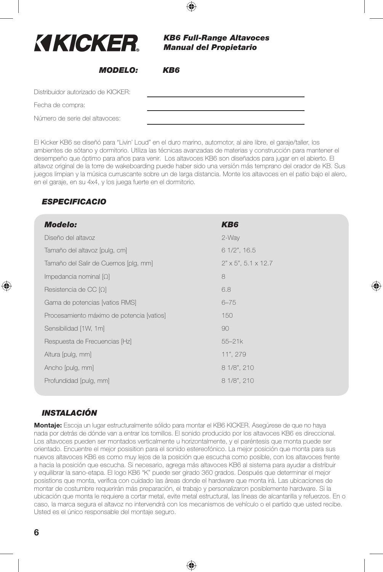| KIKICKER                           | <b>KB6 Full-Range Altavoces</b><br><b>Manual del Propietario</b> |  |
|------------------------------------|------------------------------------------------------------------|--|
| <b>MODELO:</b>                     | KB6                                                              |  |
| Distribuidor autorizado de KICKER: |                                                                  |  |
| Fecha de compra:                   |                                                                  |  |
| Número de serie del altavoces:     |                                                                  |  |

El Kicker KB6 se diseñó para "Livin' Loud" en el duro marino, automotor, al aire libre, el garaje/taller, los ambientes de sótano y dormitorio. Utiliza las técnicas avanzadas de materias y construcción para mantener el desempeño que óptimo para años para venir. Los altavoces KB6 son diseñados para jugar en el abierto. El altavoz original de la torre de wakeboarding puede haber sido una versión más temprano del orador de KB. Sus juegos limpian y la música curruscante sobre un de larga distancia. Monte los altavoces en el patio bajo el alero, en el garaje, en su 4x4, y los juega fuerte en el dormitorio.

⊕

# *ESPECIFICACIO*

| <b>Modelo:</b>                            | KB6                             |
|-------------------------------------------|---------------------------------|
| Diseño del altavoz                        | 2-Way                           |
| Tamaño del altavoz [pulg, cm]             | 6 1/2", 16.5                    |
| Tamaño del Salir de Cuernos [plg, mm]     | $2" \times 5", 5.1 \times 12.7$ |
| Impedancia nominal $[\Omega]$             | 8                               |
| Resistencia de CC $[\Omega]$              | 6.8                             |
| Gama de potencias [vatios RMS]            | $6 - 75$                        |
| Procesamiento máximo de potencia [vatios] | 150                             |
| Sensibilidad [1W, 1m]                     | 90                              |
| Respuesta de Frecuencias [Hz]             | $55 - 21k$                      |
| Altura [pulg, mm]                         | 11", 279                        |
| Ancho [pulg, mm]                          | 8 1/8", 210                     |
| Profundidad [pulg, mm]                    | 8 1/8", 210                     |
|                                           |                                 |

⊕

# *INSTALACIÓN*

**Montaje:** Escoja un lugar estructuralmente sólido para montar el KB6 KICKER. Asegúrese de que no haya nada por detrás de dónde van a entrar los tornillos. El sonido producido por los altavoces KB6 es direccional. Los altavoces pueden ser montados verticalmente u horizontalmente, y el paréntesis que monta puede ser orientado. Encuentre el mejor posisition para el sonido estereofónico. La mejor posición que monta para sus nuevos altavoces KB6 es como muy lejos de la posición que escucha como posible, con los altavoces frente a hacia la posición que escucha. Si necesario, agrega más altavoces KB6 al sistema para ayudar a distribuir y equilibrar la sano-etapa. El logo KB6 "K" puede ser girado 360 grados. Después que determinar el mejor posistions que monta, verifica con cuidado las áreas donde el hardware que monta irá. Las ubicaciones de montar de costumbre requerirán más preparación, el trabajo y personalizaron posiblemente hardware. Si la ubicación que monta le requiere a cortar metal, evite metal estructural, las líneas de alcantarilla y refuerzos. En o caso, la marca segura el altavoz no intervendrá con los mecanismos de vehículo o el partido que usted recibe. Usted es el único responsable del montaje seguro.

♠

**6**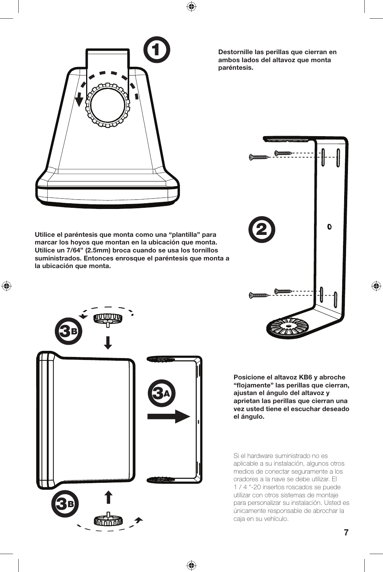



**Utilice el paréntesis que monta como una "plantilla" para marcar los hoyos que montan en la ubicación que monta. Utilice un 7/64" (2.5mm) broca cuando se usa los tornillos suministrados. Entonces enrosque el paréntesis que monta a la ubicación que monta.**

 $\bigoplus$ 



♠

**Destornille las perillas que cierran en ambos lados del altavoz que monta paréntesis.**



**Posicione el altavoz KB6 y abroche "fl ojamente" las perillas que cierran, ajustan el ángulo del altavoz y aprietan las perillas que cierran una vez usted tiene el escuchar deseado el ángulo.** 

Si el hardware suministrado no es aplicable a su instalación, algunos otros medios de conectar seguramente a los oradores a la nave se debe utilizar. El 1 / 4 "-20 insertos roscados se puede utilizar con otros sistemas de montaje para personalizar su instalación. Usted es únicamente responsable de abrochar la caja en su vehículo.

**7**

◈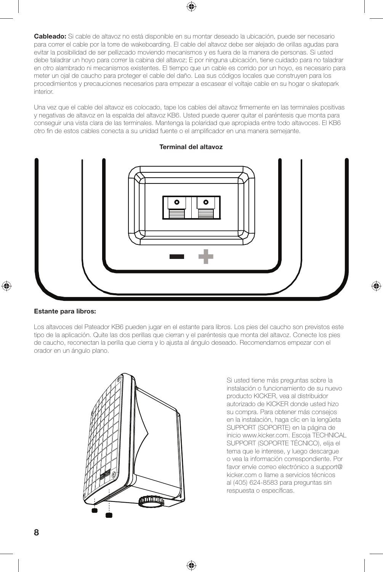

**Cableado:** Si cable de altavoz no está disponible en su montar deseado la ubicación, puede ser necesario para correr el cable por la torre de wakeboarding. El cable del altavoz debe ser alejado de orillas agudas para evitar la posibilidad de ser pellizcado moviendo mecanismos y es fuera de la manera de personas. Si usted debe taladrar un hoyo para correr la cabina del altavoz; E por ninguna ubicación, tiene cuidado para no taladrar en otro alambrado ni mecanismos existentes. El tiempo que un cable es corrido por un hoyo, es necesario para meter un ojal de caucho para proteger el cable del daño. Lea sus códigos locales que construyen para los procedimientos y precauciones necesarios para empezar a escasear el voltaje cable en su hogar o skatepark interior.

Una vez que el cable del altavoz es colocado, tape los cables del altavoz firmemente en las terminales positivas y negativas de altavoz en la espalda del altavoz KB6. Usted puede querer quitar el paréntesis que monta para conseguir una vista clara de las terminales. Mantenga la polaridad que apropiada entre todo altavoces. El KB6 otro fin de estos cables conecta a su unidad fuente o el amplificador en una manera semejante.



#### **Terminal del altavoz**

#### **Estante para libros:**

♠

Los altavoces del Pateador KB6 pueden jugar en el estante para libros. Los pies del caucho son previstos este tipo de la aplicación. Quite las dos perillas que cierran y el paréntesis que monta del altavoz. Conecte los pies de caucho, reconectan la perilla que cierra y lo ajusta al ángulo deseado. Recomendamos empezar con el orador en un ángulo plano.

♠



Si usted tiene más preguntas sobre la instalación o funcionamiento de su nuevo producto KICKER, vea al distribuidor autorizado de KICKER donde usted hizo su compra. Para obtener más consejos en la instalación, haga clic en la lengüeta SUPPORT (SOPORTE) en la página de inicio www.kicker.com. Escoja TECHNICAL SUPPORT (SOPORTE TÉCNICO), elija el tema que le interese, y luego descargue o vea la información correspondiente. Por favor envíe correo electrónico a support@ kicker.com o llame a servicios técnicos al (405) 624-8583 para preguntas sin respuesta o específicas.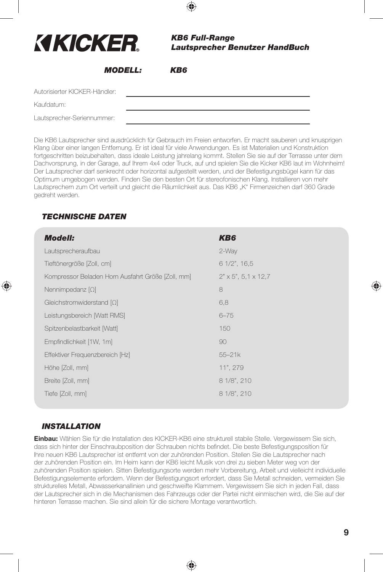| <b>KIKICKER.</b>              | <b>KB6 Full-Range</b><br><b>Lautsprecher Benutzer HandBuch</b> |
|-------------------------------|----------------------------------------------------------------|
| <i><b>MODELL:</b></i>         | KB6                                                            |
| Autorisierter KICKER-Händler: |                                                                |
| Kaufdatum:                    |                                                                |
| Lautsprecher-Seriennummer:    |                                                                |

Die KB6 Lautsprecher sind ausdrücklich für Gebrauch im Freien entworfen. Er macht sauberen und knusprigen Klang über einer langen Entfernung. Er ist ideal für viele Anwendungen. Es ist Materialien und Konstruktion fortgeschritten beizubehalten, dass ideale Leistung jahrelang kommt. Stellen Sie sie auf der Terrasse unter dem Dachvorsprung, in der Garage, auf Ihrem 4x4 oder Truck, auf und spielen Sie die Kicker KB6 laut im Wohnheim! Der Lautsprecher darf senkrecht oder horizontal aufgestellt werden, und der Befestigungsbügel kann für das Optimum umgebogen werden. Finden Sie den besten Ort für stereofonischen Klang. Installieren von mehr Lautsprechern zum Ort verteilt und gleicht die Räumlichkeit aus. Das KB6 "K" Firmenzeichen darf 360 Grade gedreht werden.

# *TECHNISCHE DATEN*

♠

| <b>Modell:</b>                                    | KB6                               |
|---------------------------------------------------|-----------------------------------|
| Lautsprecheraufbau                                | 2-Way                             |
| Tieftönergröße [Zoll, cm]                         | $61/2$ ", $16.5$                  |
| Kompressor Beladen Horn Ausfahrt Größe [Zoll, mm] | $2" \times 5", 5, 1 \times 12, 7$ |
| Nennimpedanz $[\Omega]$                           | 8                                 |
| Gleichstromwiderstand $[\Omega]$                  | 6,8                               |
| Leistungsbereich [Watt RMS]                       | $6 - 75$                          |
| Spitzenbelastbarkeit [Watt]                       | 150                               |
| Empfindlichkeit [1W, 1m]                          | 90                                |
| Effektiver Frequenzbereich [Hz]                   | $55 - 21k$                        |
| Höhe [Zoll, mm]                                   | 11", 279                          |
| Breite [Zoll, mm]                                 | 8 1/8", 210                       |
| Tiefe [Zoll, mm]                                  | 8 1/8", 210                       |

# *INSTALLATION*

**Einbau:** Wählen Sie für die Installation des KICKER-KB6 eine strukturell stabile Stelle. Vergewissern Sie sich, dass sich hinter der Einschraubposition der Schrauben nichts befindet. Die beste Befestigungsposition für Ihre neuen KB6 Lautsprecher ist entfernt von der zuhörenden Position. Stellen Sie die Lautsprecher nach der zuhörenden Position ein. Im Heim kann der KB6 leicht Musik von drei zu sieben Meter weg von der zuhörenden Position spielen. Sitten Befestigungsorte werden mehr Vorbereitung, Arbeit und vielleicht individuelle Befestigungselemente erfordern. Wenn der Befestigungsort erfordert, dass Sie Metall schneiden, vermeiden Sie strukturelles Metall, Abwasserkanallinien und geschweifte Klammern. Vergewissern Sie sich in jeden Fall, dass der Lautsprecher sich in die Mechanismen des Fahrzeugs oder der Partei nicht einmischen wird, die Sie auf der hinteren Terrasse machen. Sie sind allein für die sichere Montage verantwortlich.

♠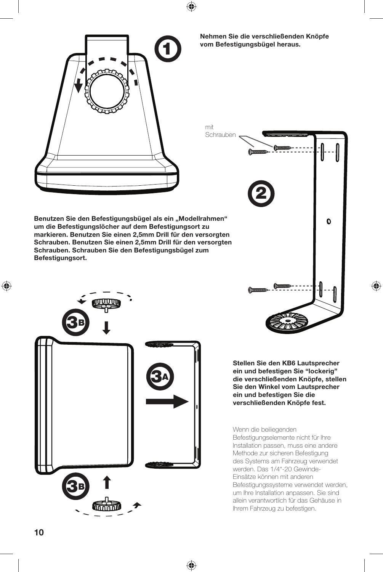

**Nehmen Sie die verschließenden Knöpfe vom Befestigungsbügel heraus.**

mit

Schrauben**2**  $\mathbf 0$ 

> **Stellen Sie den KB6 Lautsprecher ein und befestigen Sie "lockerig" die verschließenden Knöpfe, stellen Sie den Winkel vom Lautsprecher ein und befestigen Sie die verschließenden Knöpfe fest.**

◈

Wenn die beiliegenden Befestigungselemente nicht für Ihre Installation passen, muss eine andere Methode zur sicheren Befestigung des Systems am Fahrzeug verwendet werden. Das 1/4"-20 Gewinde-Einsätze können mit anderen Befestigungssysteme verwendet werden, um Ihre Installation anpassen. Sie sind allein verantwortlich für das Gehäuse in Ihrem Fahrzeug zu befestigen.

Benutzen Sie den Befestigungsbügel als ein "Modellrahmen" **um die Befestigungslöcher auf dem Befestigungsort zu markieren. Benutzen Sie einen 2,5mm Drill für den versorgten Schrauben. Benutzen Sie einen 2,5mm Drill für den versorgten Schrauben. Schrauben Sie den Befestigungsbügel zum Befestigungsort.** 



♠

 $\bigoplus$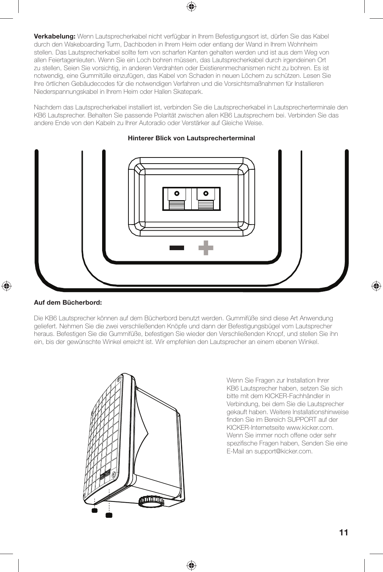

Nachdem das Lautsprecherkabel installiert ist, verbinden Sie die Lautsprecherkabel in Lautsprecherterminale den KB6 Lautsprecher. Behalten Sie passende Polarität zwischen allen KB6 Lautsprechern bei. Verbinden Sie das andere Ende von den Kabeln zu Ihrer Autoradio oder Verstärker auf Gleiche Weise.

#### **Hinterer Blick von Lautsprecherterminal**



#### **Auf dem Bücherbord:**

♠

Die KB6 Lautsprecher können auf dem Bücherbord benutzt werden. Gummifüße sind diese Art Anwendung geliefert. Nehmen Sie die zwei verschließenden Knöpfe und dann der Befestigungsbügel vom Lautsprecher heraus. Befestigen Sie die Gummifüße, befestigen Sie wieder den Verschließenden Knopf, und stellen Sie ihn ein, bis der gewünschte Winkel erreicht ist. Wir empfehlen den Lautsprecher an einem ebenen Winkel.

♠



Wenn Sie Fragen zur Installation Ihrer KB6 Lautsprecher haben, setzen Sie sich bitte mit dem KICKER-Fachhändler in Verbindung, bei dem Sie die Lautsprecher gekauft haben. Weitere Installationshinweise finden Sie im Bereich SUPPORT auf der KICKER-Internetseite www.kicker.com. Wenn Sie immer noch offene oder sehr spezifische Fragen haben, Senden Sie eine E-Mail an support@kicker.com.

**11**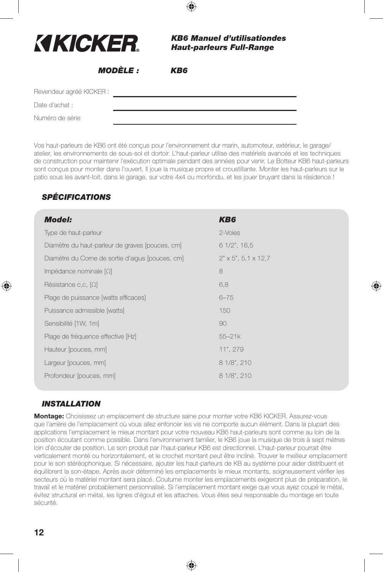| KIKICKER                 |                | <b>KB6 Manuel d'utilisationdes</b><br><b>Haut-parleurs Full-Range</b> |
|--------------------------|----------------|-----------------------------------------------------------------------|
|                          | <b>MODÈLE:</b> | KB6                                                                   |
| Revendeur agréé KICKER : |                |                                                                       |
| Date d'achat :           |                |                                                                       |
| Numéro de série          |                |                                                                       |

Vos haut-parleurs de KB6 ont été conçus pour l'environnement dur marin, automoteur, extérieur, le garage/ atelier, les environnements de sous-sol et dortoir. L'haut-parleur utilise des matériels avancés et les techniques de construction pour maintenir l'exécution optimale pendant des années pour venir. Le Botteur KB6 haut-parleurs sont conçus pour monter dans l'ouvert. Il joue la musique propre et croustillante. Monter les haut-parleurs sur le patio sous les avant-toit, dans le garage, sur votre 4x4 ou morfondu, et les jouer bruyant dans la résidence !

⊕

# *SPÉCIFICATIONS*

| <b>Model:</b>                                    | KB6                               |
|--------------------------------------------------|-----------------------------------|
| Type de haut-parleur                             | 2-Voies                           |
| Diamètre du haut-parleur de graves (pouces, cm)  | $61/2$ ", $16.5$                  |
| Diamètre du Corne de sortie d'aigus (pouces, cm) | $2" \times 5", 5, 1 \times 12, 7$ |
| Impédance nominale $[\Omega]$                    | 8                                 |
| Résistance c,c, $[\Omega]$                       | 6,8                               |
| Plage de puissance [watts efficaces]             | $6 - 75$                          |
| Puissance admissible [watts]                     | 150                               |
| Sensibilité [1W, 1m]                             | 90                                |
| Plage de fréquence effective [Hz]                | $55 - 21k$                        |
| Hauteur (pouces, mm)                             | 11", 279                          |
| Largeur (pouces, mm)                             | 8 1/8", 210                       |
| Profondeur (pouces, mm)                          | 8 1/8", 210                       |

♠

# *INSTALLATION*

**Montage:** Choisissez un emplacement de structure saine pour monter votre KB6 KICKER. Assurez-vous que l'arrière de l'emplacement où vous allez enfoncer les vis ne comporte aucun élément. Dans la plupart des applications l'emplacement le mieux montant pour votre nouveau KB6 haut-parleurs sont comme au loin de la position écoutant comme possible. Dans l'environnement familier, le KB6 joue la musique de trois à sept mètres loin d'écouter de position. Le son produit par l'haut-parleur KB6 est directionnel. L'haut-parleur pourrait être verticalement monté ou horizontalement, et le crochet montant peut être incliné. Trouver le meilleur emplacement pour le son stéréophonique. Si nécessaire, ajouter les haut-parleurs de KB au système pour aider distribuent et équilibrent la son-étape. Après avoir déterminé les emplacements le mieux montants, soigneusement vérifier les secteurs où le matériel montant sera placé. Coutume monter les emplacements exigeront plus de préparation, le travail et le matériel probablement personnalisé. Si l'emplacement montant exige que vous ayez coupé le métal, évitez structural en métal, les lignes d'égout et les attaches. Vous êtes seul responsable du montage en toute sécurité.

♠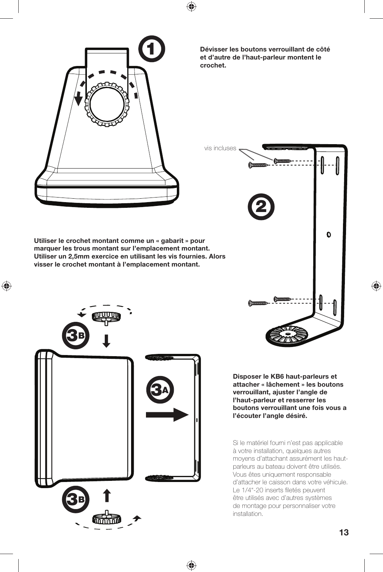



**Dévisser les boutons verrouillant de côté et d'autre de l'haut-parleur montent le crochet.**



**Disposer le KB6 haut-parleurs et attacher « lâchement » les boutons verrouillant, ajuster l'angle de l'haut-parleur et resserrer les boutons verrouillant une fois vous a l'écouter l'angle désiré.** 

Si le matériel fourni n'est pas applicable à votre installation, quelques autres moyens d'attachant assurément les hautparleurs au bateau doivent être utilisés. Vous êtes uniquement responsable d'attacher le caisson dans votre véhicule. Le 1/4"-20 inserts filetés peuvent être utilisés avec d'autres systèmes de montage pour personnaliser votre installation.

**Utiliser le crochet montant comme un « gabarit » pour marquer les trous montant sur l'emplacement montant. Utiliser un 2,5mm exercice en utilisant les vis fournies. Alors visser le crochet montant à l'emplacement montant.**

 $\bigoplus$ 



♠

◈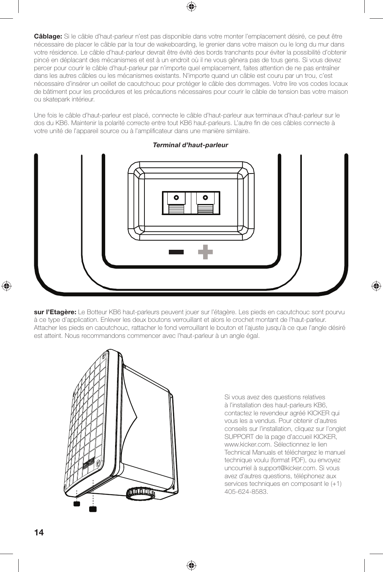

Une fois le câble d'haut-parleur est placé, connecte le câble d'haut-parleur aux terminaux d'haut-parleur sur le dos du KB6. Maintenir la polarité correcte entre tout KB6 haut-parleurs. L'autre fin de ces câbles connecte à votre unité de l'appareil source ou à l'amplificateur dans une manière similaire.

*Terminal d'haut-parleur*

**sur l'Etagère:** Le Botteur KB6 haut-parleurs peuvent jouer sur l'étagère. Les pieds en caoutchouc sont pourvu à ce type d'application. Enlever les deux boutons verrouillant et alors le crochet montant de l'haut-parleur. Attacher les pieds en caoutchouc, rattacher le fond verrouillant le bouton et l'ajuste jusqu'à ce que l'angle désiré est atteint. Nous recommandons commencer avec l'haut-parleur à un angle égal.

♠



Si vous avez des questions relatives à l'installation des haut-parleurs KB6, contactez le revendeur agréé KICKER qui vous les a vendus. Pour obtenir d'autres conseils sur l'installation, cliquez sur l'onglet SUPPORT de la page d'accueil KICKER, www.kicker.com. Sélectionnez le lien Technical Manuals et téléchargez le manuel technique voulu (format PDF), ou envoyez uncourriel à support@kicker.com. Si vous avez d'autres questions, téléphonez aux services techniques en composant le (+1) 405-624-8583.

♠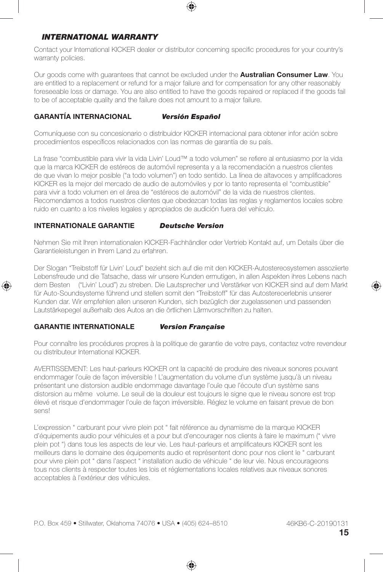# *INTERNATIONAL WARRANTY*

Contact your International KICKER dealer or distributor concerning specific procedures for your country's warranty policies.

Our goods come with guarantees that cannot be excluded under the **Australian Consumer Law**. You are entitled to a replacement or refund for a major failure and for compensation for any other reasonably foreseeable loss or damage. You are also entitled to have the goods repaired or replaced if the goods fail to be of acceptable quality and the failure does not amount to a major failure.

#### **GARANTÍA INTERNACIONAL** *Versión Español*

Comuníquese con su concesionario o distribuidor KICKER internacional para obtener infor ación sobre procedimientos específicos relacionados con las normas de garantía de su país.

La frase "combustible para vivir la vida Livin' Loud™ a todo volumen" se refiere al entusiasmo por la vida que la marca KICKER de estéreos de automóvil representa y a la recomendación a nuestros clientes de que vivan lo mejor posible ("a todo volumen") en todo sentido. La línea de altavoces y amplificadores KICKER es la mejor del mercado de audio de automóviles y por lo tanto representa el "combustible" para vivir a todo volumen en el área de "estéreos de automóvil" de la vida de nuestros clientes. Recomendamos a todos nuestros clientes que obedezcan todas las reglas y reglamentos locales sobre ruido en cuanto a los niveles legales y apropiados de audición fuera del vehículo.

#### **INTERNATIONALE GARANTIE** *Deutsche Version*

Nehmen Sie mit Ihren internationalen KICKER-Fachhändler oder Vertrieb Kontakt auf, um Details über die Garantieleistungen in Ihrem Land zu erfahren.

Der Slogan "Treibstoff für Livin' Loud" bezieht sich auf die mit den KICKER-Autostereosystemen assoziierte Lebensfreude und die Tatsache, dass wir unsere Kunden ermutigen, in allen Aspekten ihres Lebens nach dem Besten ("Livin' Loud") zu streben. Die Lautsprecher und Verstärker von KICKER sind auf dem Markt für Auto-Soundsysteme führend und stellen somit den "Treibstoff" für das Autostereoerlebnis unserer Kunden dar. Wir empfehlen allen unseren Kunden, sich bezüglich der zugelassenen und passenden Lautstärkepegel außerhalb des Autos an die örtlichen Lärmvorschriften zu halten.

#### **GARANTIE INTERNATIONALE** *Version Française*

⊕

Pour connaître les procédures propres à la politique de garantie de votre pays, contactez votre revendeur ou distributeur International KICKER.

AVERTISSEMENT: Les haut-parleurs KICKER ont la capacité de produire des niveaux sonores pouvant endommager l'ouïe de façon irréversible ! L'augmentation du volume d'un système jusqu'à un niveau présentant une distorsion audible endommage davantage l'ouïe que l'écoute d'un système sans distorsion au même volume. Le seuil de la douleur est toujours le signe que le niveau sonore est trop élevé et risque d'endommager l'ouïe de façon irréversible. Réglez le volume en faisant prevue de bon sens!

L'expression " carburant pour vivre plein pot " fait référence au dynamisme de la marque KICKER d'équipements audio pour véhicules et a pour but d'encourager nos clients à faire le maximum (" vivre plein pot ") dans tous les aspects de leur vie. Les haut-parleurs et amplificateurs KICKER sont les meilleurs dans le domaine des équipements audio et représentent donc pour nos client le " carburant pour vivre plein pot " dans l'aspect " installation audio de véhicule " de leur vie. Nous encourageons tous nos clients à respecter toutes les lois et réglementations locales relatives aux niveaux sonores acceptables à l'extérieur des véhicules.